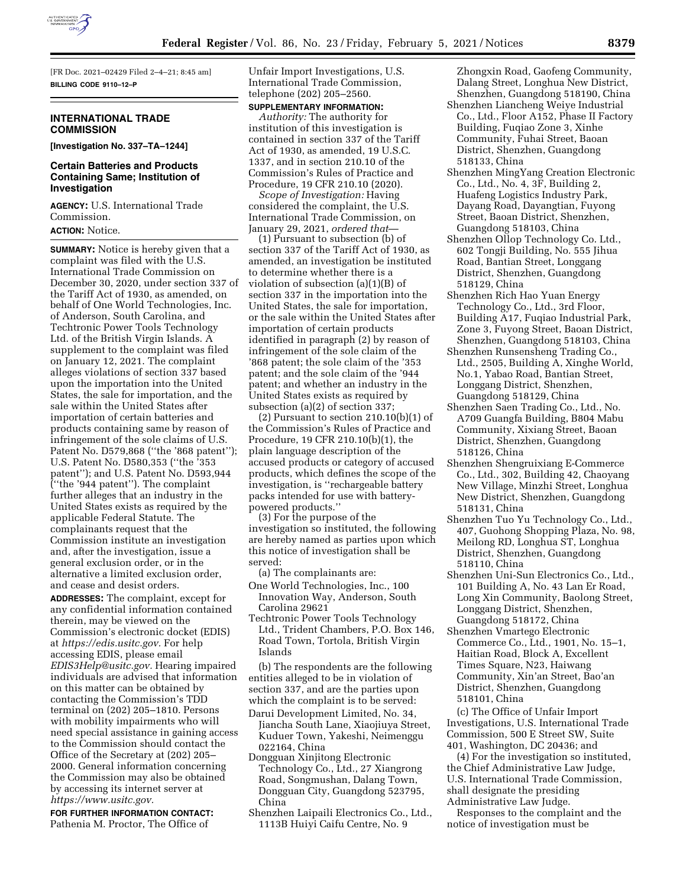

[FR Doc. 2021–02429 Filed 2–4–21; 8:45 am] **BILLING CODE 9110–12–P** 

## **INTERNATIONAL TRADE COMMISSION**

**[Investigation No. 337–TA–1244]** 

## **Certain Batteries and Products Containing Same; Institution of Investigation**

**AGENCY:** U.S. International Trade Commission. **ACTION:** Notice.

**SUMMARY:** Notice is hereby given that a complaint was filed with the U.S. International Trade Commission on December 30, 2020, under section 337 of the Tariff Act of 1930, as amended, on behalf of One World Technologies, Inc. of Anderson, South Carolina, and Techtronic Power Tools Technology Ltd. of the British Virgin Islands. A supplement to the complaint was filed on January 12, 2021. The complaint alleges violations of section 337 based upon the importation into the United States, the sale for importation, and the sale within the United States after importation of certain batteries and products containing same by reason of infringement of the sole claims of U.S. Patent No. D579,868 (''the '868 patent''); U.S. Patent No. D580,353 (''the '353 patent''); and U.S. Patent No. D593,944 (''the '944 patent''). The complaint further alleges that an industry in the United States exists as required by the applicable Federal Statute. The complainants request that the Commission institute an investigation and, after the investigation, issue a general exclusion order, or in the alternative a limited exclusion order, and cease and desist orders.

**ADDRESSES:** The complaint, except for any confidential information contained therein, may be viewed on the Commission's electronic docket (EDIS) at *[https://edis.usitc.gov.](https://edis.usitc.gov)* For help accessing EDIS, please email *[EDIS3Help@usitc.gov.](mailto:EDIS3Help@usitc.gov)* Hearing impaired individuals are advised that information on this matter can be obtained by contacting the Commission's TDD terminal on (202) 205–1810. Persons with mobility impairments who will need special assistance in gaining access to the Commission should contact the Office of the Secretary at (202) 205– 2000. General information concerning the Commission may also be obtained by accessing its internet server at *[https://www.usitc.gov.](https://www.usitc.gov)* 

**FOR FURTHER INFORMATION CONTACT:**  Pathenia M. Proctor, The Office of

Unfair Import Investigations, U.S. International Trade Commission, telephone (202) 205–2560.

# **SUPPLEMENTARY INFORMATION:**

*Authority:* The authority for institution of this investigation is contained in section 337 of the Tariff Act of 1930, as amended, 19 U.S.C. 1337, and in section 210.10 of the Commission's Rules of Practice and Procedure, 19 CFR 210.10 (2020).

*Scope of Investigation:* Having considered the complaint, the U.S. International Trade Commission, on January 29, 2021, *ordered that*—

(1) Pursuant to subsection (b) of section 337 of the Tariff Act of 1930, as amended, an investigation be instituted to determine whether there is a violation of subsection (a)(1)(B) of section 337 in the importation into the United States, the sale for importation, or the sale within the United States after importation of certain products identified in paragraph (2) by reason of infringement of the sole claim of the '868 patent; the sole claim of the '353 patent; and the sole claim of the '944 patent; and whether an industry in the United States exists as required by subsection (a)(2) of section 337;

(2) Pursuant to section 210.10(b)(1) of the Commission's Rules of Practice and Procedure, 19 CFR 210.10(b)(1), the plain language description of the accused products or category of accused products, which defines the scope of the investigation, is ''rechargeable battery packs intended for use with batterypowered products.''

(3) For the purpose of the investigation so instituted, the following are hereby named as parties upon which this notice of investigation shall be served:

(a) The complainants are:

- One World Technologies, Inc., 100 Innovation Way, Anderson, South Carolina 29621
- Techtronic Power Tools Technology Ltd., Trident Chambers, P.O. Box 146, Road Town, Tortola, British Virgin Islands

(b) The respondents are the following entities alleged to be in violation of section 337, and are the parties upon which the complaint is to be served:

- Darui Development Limited, No. 34, Jiancha South Lane, Xiaojiuya Street, Kuduer Town, Yakeshi, Neimenggu 022164, China
- Dongguan Xinjitong Electronic Technology Co., Ltd., 27 Xiangrong Road, Songmushan, Dalang Town, Dongguan City, Guangdong 523795, China
- Shenzhen Laipaili Electronics Co., Ltd., 1113B Huiyi Caifu Centre, No. 9

Zhongxin Road, Gaofeng Community, Dalang Street, Longhua New District, Shenzhen, Guangdong 518190, China

- Shenzhen Liancheng Weiye Industrial Co., Ltd., Floor A152, Phase II Factory Building, Fuqiao Zone 3, Xinhe Community, Fuhai Street, Baoan District, Shenzhen, Guangdong 518133, China
- Shenzhen MingYang Creation Electronic Co., Ltd., No. 4, 3F, Building 2, Huafeng Logistics Industry Park, Dayang Road, Dayangtian, Fuyong Street, Baoan District, Shenzhen, Guangdong 518103, China
- Shenzhen Ollop Technology Co. Ltd., 602 Tongji Building, No. 555 Jihua Road, Bantian Street, Longgang District, Shenzhen, Guangdong 518129, China
- Shenzhen Rich Hao Yuan Energy Technology Co., Ltd., 3rd Floor, Building A17, Fuqiao Industrial Park, Zone 3, Fuyong Street, Baoan District, Shenzhen, Guangdong 518103, China
- Shenzhen Runsensheng Trading Co., Ltd., 2505, Building A, Xinghe World, No.1, Yabao Road, Bantian Street, Longgang District, Shenzhen, Guangdong 518129, China
- Shenzhen Saen Trading Co., Ltd., No. A709 Guangfa Building, B804 Mabu Community, Xixiang Street, Baoan District, Shenzhen, Guangdong 518126, China
- Shenzhen Shengruixiang E-Commerce Co., Ltd., 302, Building 42, Chaoyang New Village, Minzhi Street, Longhua New District, Shenzhen, Guangdong 518131, China
- Shenzhen Tuo Yu Technology Co., Ltd., 407, Guohong Shopping Plaza, No. 98, Meilong RD, Longhua ST, Longhua District, Shenzhen, Guangdong 518110, China
- Shenzhen Uni-Sun Electronics Co., Ltd., 101 Building A, No. 43 Lan Er Road, Long Xin Community, Baolong Street, Longgang District, Shenzhen, Guangdong 518172, China
- Shenzhen Vmartego Electronic Commerce Co., Ltd., 1901, No. 15–1, Haitian Road, Block A, Excellent Times Square, N23, Haiwang Community, Xin'an Street, Bao'an District, Shenzhen, Guangdong 518101, China

(c) The Office of Unfair Import Investigations, U.S. International Trade Commission, 500 E Street SW, Suite 401, Washington, DC 20436; and

(4) For the investigation so instituted, the Chief Administrative Law Judge, U.S. International Trade Commission, shall designate the presiding Administrative Law Judge.

Responses to the complaint and the notice of investigation must be